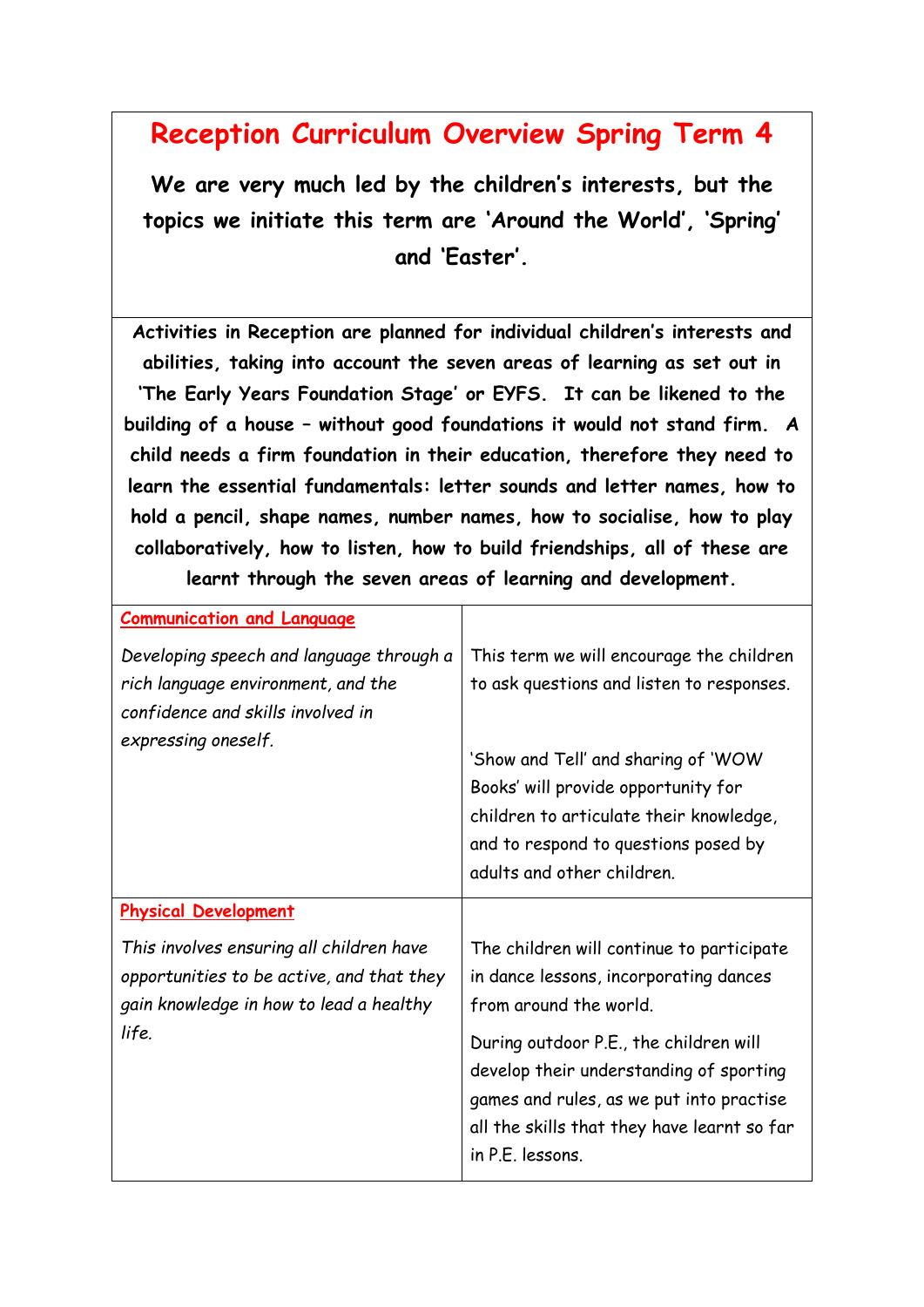## **Reception Curriculum Overview Spring Term 4**

**We are very much led by the children's interests, but the topics we initiate this term are 'Around the World', 'Spring' and 'Easter'.**

**Activities in Reception are planned for individual children's interests and abilities, taking into account the seven areas of learning as set out in 'The Early Years Foundation Stage' or EYFS. It can be likened to the building of a house – without good foundations it would not stand firm. A child needs a firm foundation in their education, therefore they need to learn the essential fundamentals: letter sounds and letter names, how to hold a pencil, shape names, number names, how to socialise, how to play collaboratively, how to listen, how to build friendships, all of these are learnt through the seven areas of learning and development.**

| <b>Communication and Language</b>                                                                                                          |                                                                                                                                                                                                                                                                                      |
|--------------------------------------------------------------------------------------------------------------------------------------------|--------------------------------------------------------------------------------------------------------------------------------------------------------------------------------------------------------------------------------------------------------------------------------------|
| Developing speech and language through a<br>rich language environment, and the<br>confidence and skills involved in<br>expressing oneself. | This term we will encourage the children<br>to ask questions and listen to responses.<br>'Show and Tell' and sharing of 'WOW<br>Books' will provide opportunity for<br>children to articulate their knowledge,<br>and to respond to questions posed by<br>adults and other children. |
| <b>Physical Development</b>                                                                                                                |                                                                                                                                                                                                                                                                                      |
| This involves ensuring all children have<br>opportunities to be active, and that they<br>gain knowledge in how to lead a healthy<br>life.  | The children will continue to participate<br>in dance lessons, incorporating dances<br>from around the world.                                                                                                                                                                        |
|                                                                                                                                            | During outdoor P.E., the children will<br>develop their understanding of sporting<br>games and rules, as we put into practise<br>all the skills that they have learnt so far<br>in P.E. lessons.                                                                                     |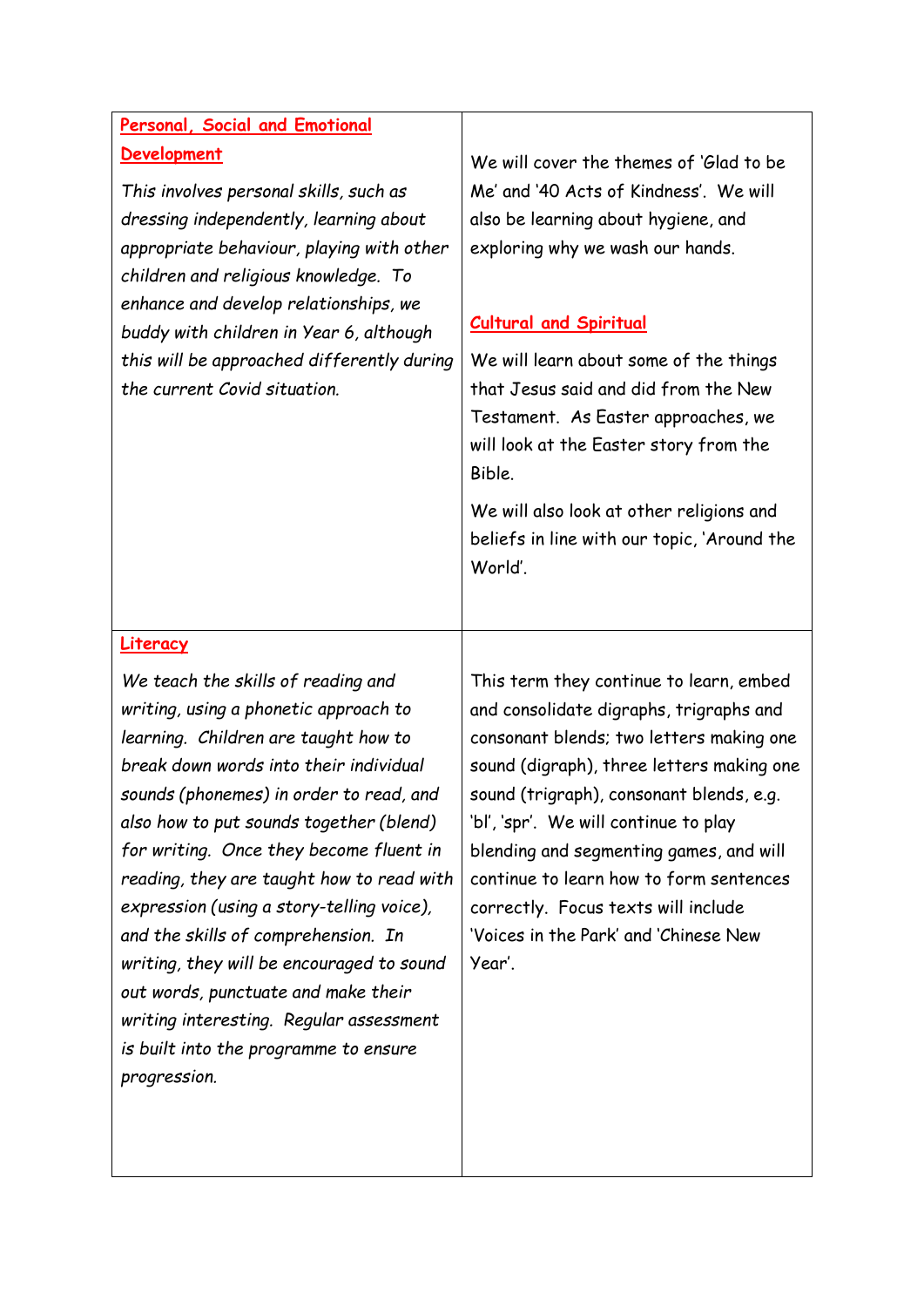## **Personal, Social and Emotional Development**

*This involves personal skills, such as dressing independently, learning about appropriate behaviour, playing with other children and religious knowledge. To enhance and develop relationships, we buddy with children in Year 6, although this will be approached differently during the current Covid situation.*

We will cover the themes of 'Glad to be Me' and '40 Acts of Kindness'. We will also be learning about hygiene, and exploring why we wash our hands.

## **Cultural and Spiritual**

We will learn about some of the things that Jesus said and did from the New Testament. As Easter approaches, we will look at the Easter story from the Bible.

We will also look at other religions and beliefs in line with our topic, 'Around the World'.

## **Literacy**

*We teach the skills of reading and writing, using a phonetic approach to learning. Children are taught how to break down words into their individual sounds (phonemes) in order to read, and also how to put sounds together (blend) for writing. Once they become fluent in reading, they are taught how to read with expression (using a story-telling voice), and the skills of comprehension. In writing, they will be encouraged to sound out words, punctuate and make their writing interesting. Regular assessment is built into the programme to ensure progression.* 

This term they continue to learn, embed and consolidate digraphs, trigraphs and consonant blends; two letters making one sound (digraph), three letters making one sound (trigraph), consonant blends, e.g. 'bl', 'spr'. We will continue to play blending and segmenting games, and will continue to learn how to form sentences correctly. Focus texts will include 'Voices in the Park' and 'Chinese New Year'.